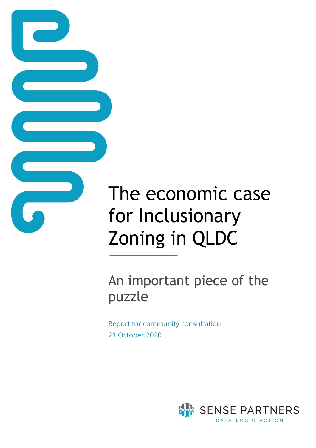# The economic case for Inclusionary Zoning in QLDC

An important piece of the puzzle

Report for community consultation 21 October 2020

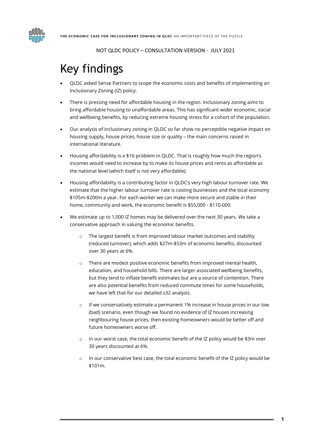

# <span id="page-1-0"></span>Key findings

- QLDC asked Sense Partners to scope the economic costs and benefits of implementing an Inclusionary Zoning (IZ) policy.
- There is pressing need for affordable housing in the region. Inclusionary zoning aims to bring affordable housing to unaffordable areas. This has significant wider economic, social and wellbeing benefits, by reducing extreme housing stress for a cohort of the population.
- Our analysis of inclusionary zoning in QLDC so far show no perceptible negative impact on housing supply, house prices, house size or quality – the main concerns raised in international literature.
- Housing affordability is a \$1b problem in QLDC. That is roughly how much the region's incomes would need to increase by to make its house prices and rents as affordable as the national level (which itself is not very affordable).
- Housing affordability is a contributing factor in QLDC's very high labour turnover rate. We estimate that the higher labour turnover rate is costing businesses and the local economy \$105m-\$200m a year. For each worker we can make more secure and stable in their home, community and work, the economic benefit is \$55,000 - \$110-000.
- We estimate up to 1,000 IZ homes may be delivered over the next 30 years. We take a conservative approach in valuing the economic benefits.
	- The largest benefit is from improved labour market outcomes and stability (reduced turnover), which adds \$27m-\$53m of economic benefits, discounted over 30 years at 6%.
	- o There are modest positive economic benefits from improved mental health, education, and household bills. There are larger associated wellbeing benefits, but they tend to inflate benefit estimates but are a source of contention. There are also potential benefits from reduced commute times for some households, we have left that for our detailed s32 analysis.
	- $\circ$  If we conservatively estimate a permanent 1% increase in house prices in our low (bad) scenario, even though we found no evidence of IZ houses increasing neighbouring house prices, then existing homeowners would be better off and future homeowners worse off.
	- o In our worst case, the total economic benefit of the IZ policy would be \$3m over 30 years discounted at 6%.
	- In our conservative best case, the total economic benefit of the IZ policy would be \$101m.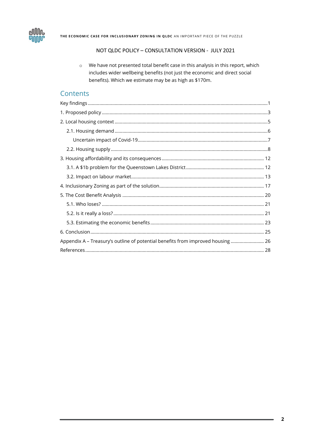

THE ECONOMIC CASE FOR INCLUSIONARY ZONING IN QLDC AN IMPORTANT PIECE OF THE PUZZLE

#### NOT QLDC POLICY - CONSULTATION VERSION - JULY 2021

o We have not presented total benefit case in this analysis in this report, which includes wider wellbeing benefits (not just the economic and direct social benefits). Which we estimate may be as high as \$170m.

### Contents

| Appendix A - Treasury's outline of potential benefits from improved housing  26 |  |
|---------------------------------------------------------------------------------|--|
|                                                                                 |  |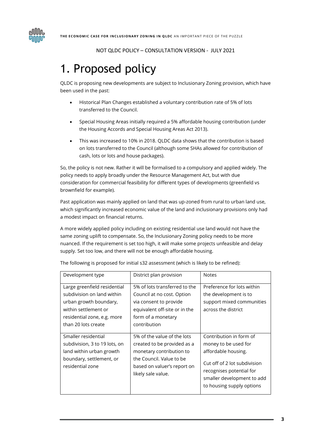

# <span id="page-3-0"></span>1. Proposed policy

QLDC is proposing new developments are subject to Inclusionary Zoning provision, which have been used in the past:

- Historical Plan Changes established a voluntary contribution rate of 5% of lots transferred to the Council.
- Special Housing Areas initially required a 5% affordable housing contribution (under the Housing Accords and Special Housing Areas Act 2013).
- This was increased to 10% in 2018. QLDC data shows that the contribution is based on lots transferred to the Council (although some SHAs allowed for contribution of cash, lots or lots and house packages).

So, the policy is not new. Rather it will be formalised to a compulsory and applied widely. The policy needs to apply broadly under the Resource Management Act, but with due consideration for commercial feasibility for different types of developments (greenfield vs brownfield for example).

Past application was mainly applied on land that was up-zoned from rural to urban land use, which significantly increased economic value of the land and inclusionary provisions only had a modest impact on financial returns.

A more widely applied policy including on existing residential use land would not have the same zoning uplift to compensate. So, the Inclusionary Zoning policy needs to be more nuanced. If the requirement is set too high, it will make some projects unfeasible and delay supply. Set too low, and there will not be enough affordable housing.

| Development type                                                                                                                                                   | District plan provision                                                                                                                                                 | <b>Notes</b>                                                                                                                                                                                  |
|--------------------------------------------------------------------------------------------------------------------------------------------------------------------|-------------------------------------------------------------------------------------------------------------------------------------------------------------------------|-----------------------------------------------------------------------------------------------------------------------------------------------------------------------------------------------|
| Large greenfield residential<br>subdivision on land within<br>urban growth boundary,<br>within settlement or<br>residential zone, e.g. more<br>than 20 lots create | 5% of lots transferred to the<br>Council at no cost. Option<br>via consent to provide<br>equivalent off-site or in the<br>form of a monetary<br>contribution            | Preference for lots within<br>the development is to<br>support mixed communities<br>across the district                                                                                       |
| Smaller residential<br>subdivision, 3 to 19 lots, on<br>land within urban growth<br>boundary, settlement, or<br>residential zone                                   | 5% of the value of the lots<br>created to be provided as a<br>monetary contribution to<br>the Council. Value to be<br>based on valuer's report on<br>likely sale value. | Contribution in form of<br>money to be used for<br>affordable housing.<br>Cut off of 2 lot subdivision<br>recognises potential for<br>smaller development to add<br>to housing supply options |

The following is proposed for initial s32 assessment (which is likely to be refined):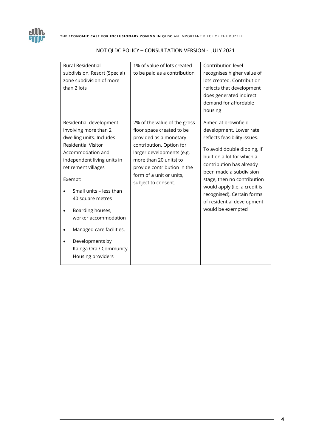

| <b>Rural Residential</b><br>subdivision, Resort (Special)<br>zone subdivision of more<br>than 2 lots                                                                                                                                                                                                                                                                                      | 1% of value of lots created<br>to be paid as a contribution                                                                                                                                                                                              | Contribution level<br>recognises higher value of<br>lots created. Contribution<br>reflects that development<br>does generated indirect<br>demand for affordable<br>housing                                                                                                                                                                          |
|-------------------------------------------------------------------------------------------------------------------------------------------------------------------------------------------------------------------------------------------------------------------------------------------------------------------------------------------------------------------------------------------|----------------------------------------------------------------------------------------------------------------------------------------------------------------------------------------------------------------------------------------------------------|-----------------------------------------------------------------------------------------------------------------------------------------------------------------------------------------------------------------------------------------------------------------------------------------------------------------------------------------------------|
| Residential development<br>involving more than 2<br>dwelling units. Includes<br><b>Residential Visitor</b><br>Accommodation and<br>independent living units in<br>retirement villages<br>Exempt:<br>Small units - less than<br>40 square metres<br>Boarding houses,<br>worker accommodation<br>Managed care facilities.<br>Developments by<br>Kainga Ora / Community<br>Housing providers | 2% of the value of the gross<br>floor space created to be<br>provided as a monetary<br>contribution. Option for<br>larger developments (e.g.<br>more than 20 units) to<br>provide contribution in the<br>form of a unit or units,<br>subject to consent. | Aimed at brownfield<br>development. Lower rate<br>reflects feasibility issues.<br>To avoid double dipping, if<br>built on a lot for which a<br>contribution has already<br>been made a subdivision<br>stage, then no contribution<br>would apply (i.e. a credit is<br>recognised). Certain forms<br>of residential development<br>would be exempted |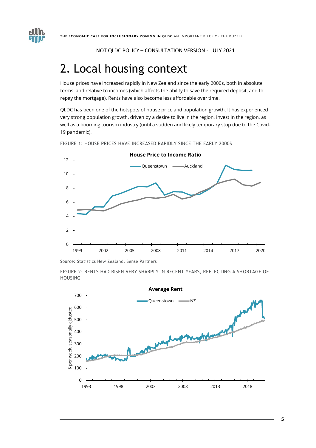

## <span id="page-5-0"></span>2. Local housing context

House prices have increased rapidly in New Zealand since the early 2000s, both in absolute terms and relative to incomes (which affects the ability to save the required deposit, and to repay the mortgage). Rents have also become less affordable over time.

QLDC has been one of the hotspots of house price and population growth. It has experienced very strong population growth, driven by a desire to live in the region, invest in the region, as well as a booming tourism industry (until a sudden and likely temporary stop due to the Covid-19 pandemic).

FIGURE 1: HOUSE PRICES HAVE INCREASED RAPIDLY SINCE THE EARLY 2000S



Source: Statistics New Zealand, Sense Partners

FIGURE 2: RENTS HAD RISEN VERY SHARPLY IN RECENT YEARS, REFLECTING A SHORTAGE OF HOUSING



**5**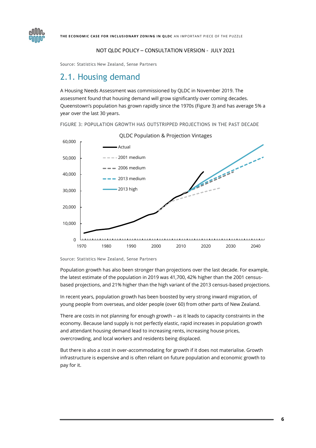

Source: Statistics New Zealand, Sense Partners

### <span id="page-6-0"></span>2.1. Housing demand

A Housing Needs Assessment was commissioned by QLDC in November 2019. The assessment found that housing demand will grow significantly over coming decades. Queenstown's population has grown rapidly since the 1970s [\(Figure 3\)](#page-6-1) and has average 5% a year over the last 30 years.

<span id="page-6-1"></span>FIGURE 3: POPULATION GROWTH HAS OUTSTRIPPED PROJECTIONS IN THE PAST DECADE



Source: Statistics New Zealand, Sense Partners

Population growth has also been stronger than projections over the last decade. For example, the latest estimate of the population in 2019 was 41,700, 42% higher than the 2001 censusbased projections, and 21% higher than the high variant of the 2013 census-based projections.

In recent years, population growth has been boosted by very strong inward migration, of young people from overseas, and older people (over 60) from other parts of New Zealand.

There are costs in not planning for enough growth – as it leads to capacity constraints in the economy. Because land supply is not perfectly elastic, rapid increases in population growth and attendant housing demand lead to increasing rents, increasing house prices, overcrowding, and local workers and residents being displaced.

But there is also a cost in over-accommodating for growth if it does not materialise. Growth infrastructure is expensive and is often reliant on future population and economic growth to pay for it.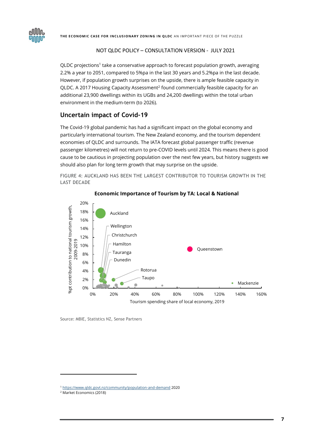

QLDC projections<sup>1</sup> take a conservative approach to forecast population growth, averaging 2.2% a year to 2051, compared to 5%pa in the last 30 years and 5.2%pa in the last decade. However, if population growth surprises on the upside, there is ample feasible capacity in QLDC. A 2017 Housing Capacity Assessment<sup>2</sup> found commercially feasible capacity for an additional 23,900 dwellings within its UGBs and 24,200 dwellings within the total urban environment in the medium-term (to 2026).

#### <span id="page-7-0"></span>**Uncertain impact of Covid-19**

The Covid-19 global pandemic has had a significant impact on the global economy and particularly international tourism. The New Zealand economy, and the tourism dependent economies of QLDC and surrounds. The IATA forecast global passenger traffic (revenue passenger kilometres) will not return to pre-COVID levels until 2024. This means there is good cause to be cautious in projecting population over the next few years, but history suggests we should also plan for long term growth that may surprise on the upside.

FIGURE 4: AUCKLAND HAS BEEN THE LARGEST CONTRIBUTOR TO TOURISM GROWTH IN THE LAST DECADE



#### **Economic Importance of Tourism by TA: Local & National**

Source: MBIE, Statistics NZ, Sense Partners

<sup>1</sup> <https://www.qldc.govt.nz/community/population-and-demand> 2020

<sup>2</sup> Market Economics (2018)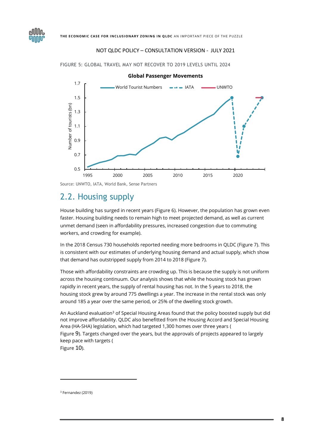

FIGURE 5: GLOBAL TRAVEL MAY NOT RECOVER TO 2019 LEVELS UNTIL 2024

Source: UNWTO, IATA, World Bank, Sense Partners

### <span id="page-8-0"></span>2.2. Housing supply

House building has surged in recent years [\(Figure 6\)](#page-9-0). However, the population has grown even faster. Housing building needs to remain high to meet projected demand, as well as current unmet demand (seen in affordability pressures, increased congestion due to commuting workers, and crowding for example).

In the 2018 Census 730 households reported needing more bedrooms in QLDC [\(Figure 7\)](#page-9-1). This is consistent with our estimates of underlying housing demand and actual supply, which show that demand has outstripped supply from 2014 to 2018 (Figure 7).

Those with affordability constraints are crowding up. This is because the supply is not uniform across the housing continuum. Our analysis shows that while the housing stock has grown rapidly in recent years, the supply of rental housing has not. In the 5 years to 2018, the housing stock grew by around 775 dwellings a year. The increase in the rental stock was only around 185 a year over the same period, or 25% of the dwelling stock growth.

An Auckland evaluation<sup>3</sup> of Special Housing Areas found that the policy boosted supply but did not improve affordability. QLDC also benefitted from the Housing Accord and Special Housing Area (HA-SHA) legislation, which had targeted 1,300 homes over three years [\(](#page-10-0) [Figure](#page-10-0) 9). Targets changed over the years, but the approvals of projects appeared to largely keep pace with targets [\(](#page-11-0) [Figure](#page-11-0) 10).

<sup>3</sup> Fernandez (2019)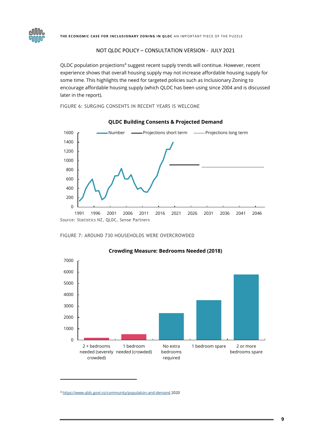

THE ECONOMIC CASE FOR INCLUSIONARY ZONING IN QLDC AN IMPORTANT PIECE OF THE PUZZLE

#### NOT QLDC POLICY – CONSULTATION VERSION - JULY 2021

QLDC population projections<sup>4</sup> suggest recent supply trends will continue. However, recent experience shows that overall housing supply may not increase affordable housing supply for some time. This highlights the need for targeted policies such as Inclusionary Zoning to encourage affordable housing supply (which QLDC has been using since 2004 and is discussed later in the report).

<span id="page-9-0"></span>FIGURE 6: SURGING CONSENTS IN RECENT YEARS IS WELCOME



#### **QLDC Building Consents & Projected Demand**

<span id="page-9-1"></span>



#### **Crowding Measure: Bedrooms Needed (2018)**

<sup>4</sup> <https://www.qldc.govt.nz/community/population-and-demand> 2020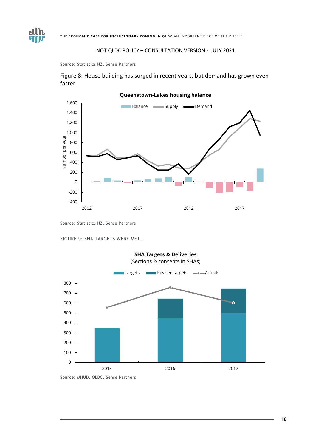

Source: Statistics NZ, Sense Partners

**GNNO** 

Figure 8: House building has surged in recent years, but demand has grown even faster



Source: Statistics NZ, Sense Partners

<span id="page-10-0"></span>FIGURE 9: SHA TARGETS WERE MET…



**SHA Targets & Deliveries**

Source: MHUD, QLDC, Sense Partners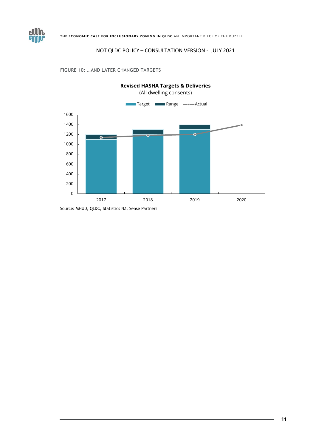

<span id="page-11-0"></span>FIGURE 10: …AND LATER CHANGED TARGETS

eJUUN: **GNUU** 

Source: MHUD, QLDC, Statistics NZ, Sense Partners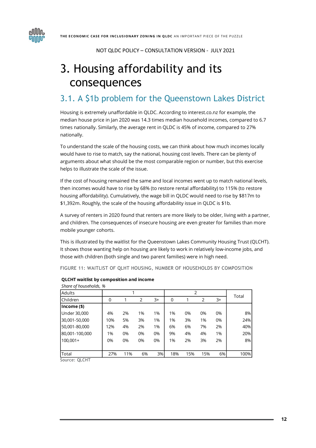

# <span id="page-12-0"></span>3. Housing affordability and its consequences

### <span id="page-12-1"></span>3.1. A \$1b problem for the Queenstown Lakes District

Housing is extremely unaffordable in QLDC. According to interest.co.nz for example, the median house price in Jan 2020 was 14.3 times median household incomes, compared to 6.7 times nationally. Similarly, the average rent in QLDC is 45% of income, compared to 27% nationally.

To understand the scale of the housing costs, we can think about how much incomes locally would have to rise to match, say the national, housing cost levels. There can be plenty of arguments about what should be the most comparable region or number, but this exercise helps to illustrate the scale of the issue.

If the cost of housing remained the same and local incomes went up to match national levels, then incomes would have to rise by 68% (to restore rental affordability) to 115% (to restore housing affordability). Cumulatively, the wage bill in QLDC would need to rise by \$817m to \$1,392m. Roughly, the scale of the housing affordability issue in QLDC is \$1b.

A survey of renters in 2020 found that renters are more likely to be older, living with a partner, and children. The consequences of insecure housing are even greater for families than more mobile younger cohorts.

This is illustrated by the waitlist for the Queenstown Lakes Community Housing Trust (QLCHT). It shows those wanting help on housing are likely to work in relatively low-income jobs, and those with children (both single and two parent families) were in high need.

FIGURE 11: WAITLIST OF QLHT HOUSING, NUMBER OF HOUSEHOLDS BY COMPOSITION

| Share of households, % |     |     |    |      |                |     |                |       |      |
|------------------------|-----|-----|----|------|----------------|-----|----------------|-------|------|
| Adults                 |     |     |    |      | $\overline{2}$ |     |                | Total |      |
| <b>Children</b>        | 0   |     | 2  | $3+$ | 0              |     | $\overline{2}$ | 3+    |      |
| $Income($ \$)          |     |     |    |      |                |     |                |       |      |
| Under 30,000           | 4%  | 2%  | 1% | 1%   | 1%             | 0%  | 0%             | 0%    | 8%   |
| 30,001-50,000          | 10% | 5%  | 3% | 1%   | 1%             | 3%  | 1%             | 0%    | 24%  |
| 50,001-80,000          | 12% | 4%  | 2% | 1%   | 6%             | 6%  | 7%             | 2%    | 40%  |
| 80,001-100,000         | 1%  | 0%  | 0% | 0%   | 9%             | 4%  | 4%             | 1%    | 20%  |
| $100,001+$             | 0%  | 0%  | 0% | 0%   | 1%             | 2%  | 3%             | 2%    | 8%   |
|                        |     |     |    |      |                |     |                |       |      |
| Total                  | 27% | 11% | 6% | 3%   | 18%            | 15% | 15%            | 6%    | 100% |
| Source: OLCHT          |     |     |    |      |                |     |                |       |      |

#### **QLCHT waitlist by composition and income**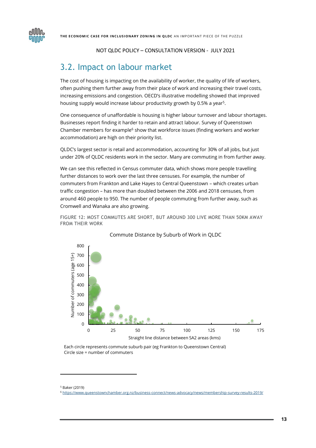

### <span id="page-13-0"></span>3.2. Impact on labour market

The cost of housing is impacting on the availability of worker, the quality of life of workers, often pushing them further away from their place of work and increasing their travel costs, increasing emissions and congestion. OECD's illustrative modelling showed that improved housing supply would increase labour productivity growth by 0.5% a year<sup>5</sup>.

One consequence of unaffordable is housing is higher labour turnover and labour shortages. Businesses report finding it harder to retain and attract labour. Survey of Queenstown Chamber members for example $6$  show that workforce issues (finding workers and worker accommodation) are high on their priority list.

QLDC's largest sector is retail and accommodation, accounting for 30% of all jobs, but just under 20% of QLDC residents work in the sector. Many are commuting in from further away.

We can see this reflected in Census commuter data, which shows more people travelling further distances to work over the last three censuses. For example, the number of commuters from Frankton and Lake Hayes to Central Queenstown – which creates urban traffic congestion – has more than doubled between the 2006 and 2018 censuses, from around 460 people to 950. The number of people commuting from further away, such as Cromwell and Wanaka are also growing.

<span id="page-13-1"></span>FIGURE 12: MOST COMMUTES ARE SHORT, BUT AROUND 300 LIVE MORE THAN 50KM AWAY FROM THEIR WORK



#### Commute Distance by Suburb of Work in QLDC

Each circle represents commute suburb pair (eg Frankton to Queenstown Central) Circle size = number of commuters

<sup>5</sup> Baker (2019)

<sup>6</sup> <https://www.queenstownchamber.org.nz/business-connect/news-advocacy/news/membership-survey-results-2019/>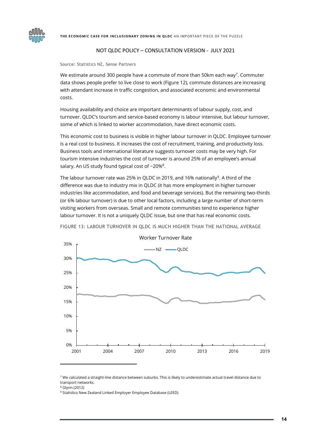



Source: Statistics NZ, Sense Partners

We estimate around 300 people have a commute of more than 50km each way<sup>7</sup>. Commuter data shows people prefer to live close to work [\(Figure 12\)](#page-13-1), commute distances are increasing with attendant increase in traffic congestion, and associated economic and environmental costs.

Housing availability and choice are important determinants of labour supply, cost, and turnover. QLDC's tourism and service-based economy is labour intensive, but labour turnover, some of which is linked to worker accommodation, have direct economic costs.

This economic cost to business is visible in higher labour turnover in QLDC. Employee turnover is a real cost to business. It increases the cost of recruitment, training, and productivity loss. Business tools and international literature suggests turnover costs may be very high. For tourism intensive industries the cost of turnover is around 25% of an employee's annual salary. An US study found typical cost of  $\sim$ 20% $^8$ .

The labour turnover rate was 25% in QLDC in 2019, and 16% nationally<sup>9</sup>. A third of the difference was due to industry mix in QLDC (it has more employment in higher turnover industries like accommodation, and food and beverage services). But the remaining two-thirds (or 6% labour turnover) is due to other local factors, including a large number of short-term visiting workers from overseas. Small and remote communities tend to experience higher labour turnover. It is not a uniquely QLDC issue, but one that has real economic costs.



FIGURE 13: LABOUR TURNOVER IN QLDC IS MUCH HIGHER THAN THE NATIONAL AVERAGE

 $7$  We calculated a straight-line distance between suburbs. This is likely to underestimate actual travel distance due to transport networks.

<sup>8</sup> Glynn (2012)

<sup>9</sup> Statistics New Zealand Linked Employer Employee Database (LEED)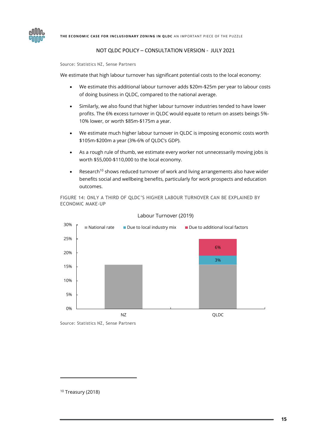

Source: Statistics NZ, Sense Partners

We estimate that high labour turnover has significant potential costs to the local economy:

- We estimate this additional labour turnover adds \$20m-\$25m per year to labour costs of doing business in QLDC, compared to the national average.
- Similarly, we also found that higher labour turnover industries tended to have lower profits. The 6% excess turnover in QLDC would equate to return on assets beings 5%- 10% lower, or worth \$85m-\$175m a year.
- We estimate much higher labour turnover in QLDC is imposing economic costs worth \$105m-\$200m a year (3%-6% of QLDC's GDP).
- As a rough rule of thumb, we estimate every worker not unnecessarily moving jobs is worth \$55,000-\$110,000 to the local economy.
- Research<sup>10</sup> shows reduced turnover of work and living arrangements also have wider benefits social and wellbeing benefits, particularly for work prospects and education outcomes.

FIGURE 14: ONLY A THIRD OF QLDC'S HIGHER LABOUR TURNOVER CAN BE EXPLAINED BY ECONOMIC MAKE-UP



#### Labour Turnover (2019)

Source: Statistics NZ, Sense Partners

<sup>10</sup> Treasury (2018)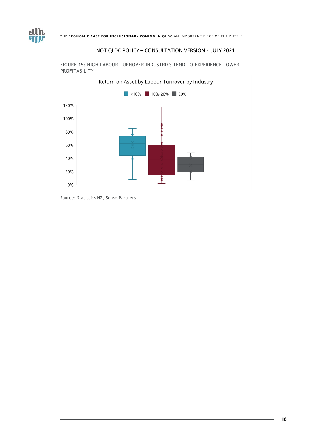



FIGURE 15: HIGH LABOUR TURNOVER INDUSTRIES TEND TO EXPERIENCE LOWER PROFITABILITY

<span id="page-16-0"></span>Source: Statistics NZ, Sense Partners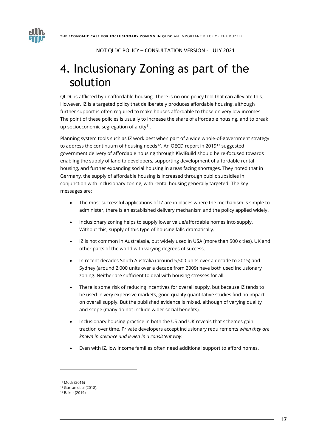

# 4. Inclusionary Zoning as part of the solution

QLDC is afflicted by unaffordable housing. There is no one policy tool that can alleviate this. However, IZ is a targeted policy that deliberately produces affordable housing, although further support is often required to make houses affordable to those on very low incomes. The point of these policies is usually to increase the share of affordable housing, and to break up socioeconomic segregation of a city $11$ .

<span id="page-17-0"></span>Planning system tools such as IZ work best when part of a wide whole-of-government strategy to address the continuum of housing needs<sup>12</sup>. An OECD report in 2019<sup>13</sup> suggested government delivery of affordable housing through KiwiBuild should be re-focused towards enabling the supply of land to developers, supporting development of affordable rental housing, and further expanding social housing in areas facing shortages. They noted that in Germany, the supply of affordable housing is increased through public subsidies in conjunction with inclusionary zoning, with rental housing generally targeted. The key messages are:

- The most successful applications of IZ are in places where the mechanism is simple to administer, there is an established delivery mechanism and the policy applied widely.
- Inclusionary zoning helps to supply lower value/affordable homes into supply. Without this, supply of this type of housing falls dramatically.
- IZ is not common in Australasia, but widely used in USA (more than 500 cities), UK and other parts of the world with varying degrees of success.
- In recent decades South Australia (around 5,500 units over a decade to 2015) and Sydney (around 2,000 units over a decade from 2009) have both used inclusionary zoning. Neither are sufficient to deal with housing stresses for all.
- There is some risk of reducing incentives for overall supply, but because IZ tends to be used in very expensive markets, good quality quantitative studies find no impact on overall supply. But the published evidence is mixed, although of varying quality and scope (many do not include wider social benefits).
- Inclusionary housing practice in both the US and UK reveals that schemes gain traction over time. Private developers accept inclusionary requirements *when they are known in advance and levied in a consistent way*.
- Even with IZ, low income families often need additional support to afford homes.

<sup>11</sup> Mock (2016)

<sup>12</sup> Gurran et al (2018).

<sup>13</sup> Baker (2019)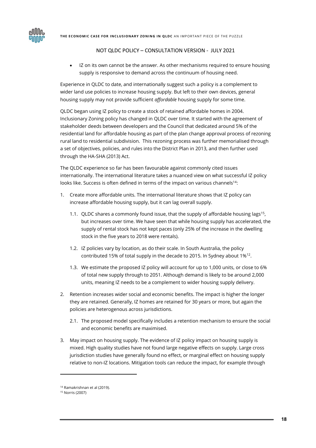IZ on its own cannot be the answer. As other mechanisms required to ensure housing supply is responsive to demand across the continuum of housing need.

Experience in QLDC to date, and internationally suggest such a policy is a complement to wider land use policies to increase housing supply. But left to their own devices, general housing supply may not provide sufficient *affordable* housing supply for some time.

QLDC began using IZ policy to create a stock of retained affordable homes in 2004. Inclusionary Zoning policy has changed in QLDC over time. It started with the agreement of stakeholder deeds between developers and the Council that dedicated around 5% of the residential land for affordable housing as part of the plan change approval process of rezoning rural land to residential subdivision. This rezoning process was further memorialised through a set of objectives, policies, and rules into the District Plan in 2013, and then further used through the HA-SHA (2013) Act.

The QLDC experience so far has been favourable against commonly cited issues internationally. The international literature takes a nuanced view on what successful IZ policy looks like. Success is often defined in terms of the impact on various channels<sup>14</sup>:

- 1. Create more affordable units. The international literature shows that IZ policy can increase affordable housing supply, but it can lag overall supply.
	- 1.1. QLDC shares a commonly found issue, that the supply of affordable housing lags<sup>15</sup>, but increases over time. We have seen that while housing supply has accelerated, the supply of rental stock has not kept paces (only 25% of the increase in the dwelling stock in the five years to 2018 were rentals).
	- 1.2. IZ policies vary by location, as do their scale. In South Australia, the policy contributed 15% of total supply in the decade to 2015. In Sydney about 1% $^{12}$  $^{12}$  $^{12}$ .
	- 1.3. We estimate the proposed IZ policy will account for up to 1,000 units, or close to 6% of total new supply through to 2051. Although demand is likely to be around 2,000 units, meaning IZ needs to be a complement to wider housing supply delivery.
- 2. Retention increases wider social and economic benefits. The impact is higher the longer they are retained. Generally, IZ homes are retained for 30 years or more, but again the policies are heterogenous across jurisdictions.
	- 2.1. The proposed model specifically includes a retention mechanism to ensure the social and economic benefits are maximised.
- 3. May impact on housing supply. The evidence of IZ policy impact on housing supply is mixed. High quality studies have not found large negative effects on supply. Large cross jurisdiction studies have generally found no effect, or marginal effect on housing supply relative to non-IZ locations. Mitigation tools can reduce the impact, for example through

<sup>14</sup> Ramakrishnan et al (2019).

<sup>15</sup> Norris (2007)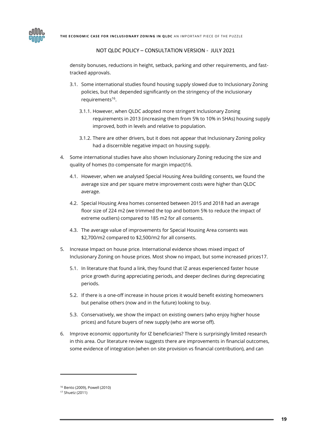

density bonuses, reductions in height, setback, parking and other requirements, and fasttracked approvals.

- 3.1. Some international studies found housing supply slowed due to Inclusionary Zoning policies, but that depended significantly on the stringency of the inclusionary requirements<sup>[16](#page-19-0)</sup>.
	- 3.1.1. However, when QLDC adopted more stringent Inclusionary Zoning requirements in 2013 (increasing them from 5% to 10% in SHAs) housing supply improved, both in levels and relative to population.
	- 3.1.2. There are other drivers, but it does not appear that Inclusionary Zoning policy had a discernible negative impact on housing supply.
- <span id="page-19-0"></span>4. Some international studies have also shown Inclusionary Zoning reducing the size and quality of homes (to compensate for margin impact)16.
	- 4.1. However, when we analysed Special Housing Area building consents, we found the average size and per square metre improvement costs were higher than QLDC average.
	- 4.2. Special Housing Area homes consented between 2015 and 2018 had an average floor size of 224 m2 (we trimmed the top and bottom 5% to reduce the impact of extreme outliers) compared to 185 m2 for all consents.
	- 4.3. The average value of improvements for Special Housing Area consents was \$2,700/m2 compared to \$2,500/m2 for all consents.
- 5. Increase Impact on house price. International evidence shows mixed impact of Inclusionary Zoning on house prices. Most show no impact, but some increased prices17.
	- 5.1. In literature that found a link, they found that IZ areas experienced faster house price growth during appreciating periods, and deeper declines during depreciating periods.
	- 5.2. If there is a one-off increase in house prices it would benefit existing homeowners but penalise others (now and in the future) looking to buy.
	- 5.3. Conservatively, we show the impact on existing owners (who enjoy higher house prices) and future buyers of new supply (who are worse off).
- 6. Improve economic opportunity for IZ beneficiaries? There is surprisingly limited research in this area. Our literature review suggests there are improvements in financial outcomes, some evidence of integration (when on site provision vs financial contribution), and can

<sup>16</sup> Bento (2009), Powell (2010)

<sup>17</sup> Shuetz (2011)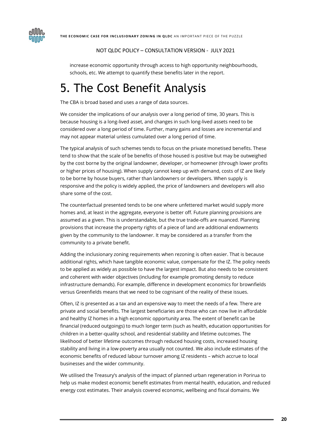



increase economic opportunity through access to high opportunity neighbourhoods, schools, etc. We attempt to quantify these benefits later in the report.

# <span id="page-20-0"></span>5. The Cost Benefit Analysis

The CBA is broad based and uses a range of data sources.

We consider the implications of our analysis over a long period of time, 30 years. This is because housing is a long-lived asset, and changes in such long-lived assets need to be considered over a long period of time. Further, many gains and losses are incremental and may not appear material unless cumulated over a long period of time.

The typical analysis of such schemes tends to focus on the private monetised benefits. These tend to show that the scale of be benefits of those housed is positive but may be outweighed by the cost borne by the original landowner, developer, or homeowner (through lower profits or higher prices of housing). When supply cannot keep up with demand, costs of IZ are likely to be borne by house buyers, rather than landowners or developers. When supply is responsive and the policy is widely applied, the price of landowners and developers will also share some of the cost.

The counterfactual presented tends to be one where unfettered market would supply more homes and, at least in the aggregate, everyone is better off. Future planning provisions are assumed as a given. This is understandable, but the true trade-offs are nuanced. Planning provisions that increase the property rights of a piece of land are additional endowments given by the community to the landowner. It may be considered as a transfer from the community to a private benefit.

Adding the inclusionary zoning requirements when rezoning is often easier. That is because additional rights, which have tangible economic value, compensate for the IZ. The policy needs to be applied as widely as possible to have the largest impact. But also needs to be consistent and coherent with wider objectives (including for example promoting density to reduce infrastructure demands). For example, difference in development economics for brownfields versus Greenfields means that we need to be cognisant of the reality of these issues.

Often, IZ is presented as a tax and an expensive way to meet the needs of a few. There are private and social benefits. The largest beneficiaries are those who can now live in affordable and healthy IZ homes in a high economic opportunity area. The extent of benefit can be financial (reduced outgoings) to much longer term (such as health, education opportunities for children in a better-quality school, and residential stability and lifetime outcomes. The likelihood of better lifetime outcomes through reduced housing costs, increased housing stability and living in a low-poverty area usually not counted. We also include estimates of the economic benefits of reduced labour turnover among IZ residents – which accrue to local businesses and the wider community.

We utilised the Treasury's analysis of the impact of planned urban regeneration in Porirua to help us make modest economic benefit estimates from mental health, education, and reduced energy cost estimates. Their analysis covered economic, wellbeing and fiscal domains. We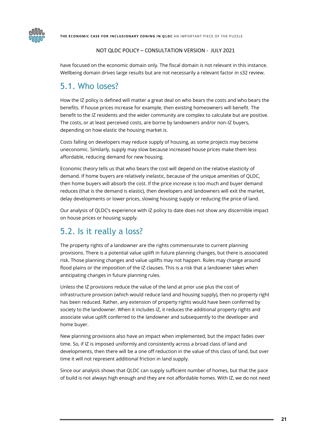

have focused on the economic domain only. The fiscal domain is not relevant in this instance. Wellbeing domain drives large results but are not necessarily a relevant factor in s32 review.

### <span id="page-21-0"></span>5.1. Who loses?

How the IZ policy is defined will matter a great deal on who bears the costs and who bears the benefits. If house prices increase for example, then existing homeowners will benefit. The benefit to the IZ residents and the wider community are complex to calculate but are positive. The costs, or at least perceived costs, are borne by landowners and/or non-IZ buyers, depending on how elastic the housing market is.

Costs falling on developers may reduce supply of housing, as some projects may become uneconomic. Similarly, supply may slow because increased house prices make them less affordable, reducing demand for new housing.

Economic theory tells us that who bears the cost will depend on the relative elasticity of demand. If home buyers are relatively inelastic, because of the unique amenities of QLDC, then home buyers will absorb the cost. If the price increase is too much and buyer demand reduces (that is the demand is elastic), then developers and landowners will exit the market, delay developments or lower prices, slowing housing supply or reducing the price of land.

Our analysis of QLDC's experience with IZ policy to date does not show any discernible impact on house prices or housing supply.

### <span id="page-21-1"></span>5.2. Is it really a loss?

The property rights of a landowner are the rights commensurate to current planning provisions. There is a potential value uplift in future planning changes, but there is associated risk. Those planning changes and value uplifts may not happen. Rules may change around flood plains or the imposition of the IZ clauses. This is a risk that a landowner takes when anticipating changes in future planning rules.

Unless the IZ provisions reduce the value of the land at prior use plus the cost of infrastructure provision (which would reduce land and housing supply), then no property right has been reduced. Rather, any extension of property rights would have been conferred by society to the landowner. When it includes IZ, it reduces the additional property rights and associate value uplift conferred to the landowner and subsequently to the developer and home buyer.

New planning provisions also have an impact when implemented, but the impact fades over time. So, if IZ is imposed uniformly and consistently across a broad class of land and developments, then there will be a one off reduction in the value of this class of land, but over time it will not represent additional friction in land supply.

Since our analysis shows that QLDC can supply sufficient number of homes, but that the pace of build is not always high enough and they are not affordable homes. With IZ, we do not need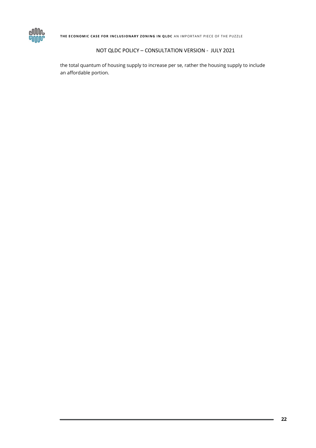

THE ECONOMIC CASE FOR INCLUSIONARY ZONING IN QLDC AN IMPORTANT PIECE OF THE PUZZLE

#### NOT QLDC POLICY – CONSULTATION VERSION - JULY 2021

the total quantum of housing supply to increase per se, rather the housing supply to include an affordable portion.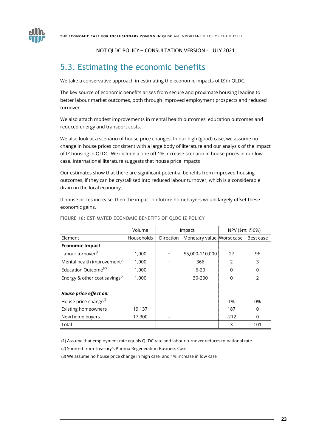

### <span id="page-23-0"></span>5.3. Estimating the economic benefits

We take a conservative approach in estimating the economic impacts of IZ in QLDC.

The key source of economic benefits arises from secure and proximate housing leading to better labour market outcomes, both through improved employment prospects and reduced turnover.

We also attach modest improvements in mental health outcomes, education outcomes and reduced energy and transport costs.

We also look at a scenario of house price changes. In our high (good) case, we assume no change in house prices consistent with a large body of literature and our analysis of the impact of IZ housing in QLDC. We include a one off 1% increase scenario in house prices in our low case. International literature suggests that house price impacts

Our estimates show that there are significant potential benefits from improved housing outcomes, if they can be crystallised into reduced labour turnover, which is a considerable drain on the local economy.

If house prices increase, then the impact on future homebuyers would largely offset these economic gains.

|                                            | Volume     | Impact    |                           | NPV (\$m; @6%) |               |
|--------------------------------------------|------------|-----------|---------------------------|----------------|---------------|
| Element                                    | Households | Direction | Monetary value Worst case |                | Best case     |
| <b>Economic Impact</b>                     |            |           |                           |                |               |
| Labour turnover <sup>(1)</sup>             | 1,000      | +         | 55,000-110,000            | 27             | 96            |
| Mental health improvement <sup>(2)</sup>   | 1,000      | $\ddot{}$ | 366                       | 2              | 3             |
| Education Outcome <sup>(2)</sup>           | 1,000      | $\ddot{}$ | $6 - 20$                  | $\Omega$       | $\Omega$      |
| Energy & other cost savings <sup>(2)</sup> | 1,000      | $\ddot{}$ | 30-200                    | 0              | $\mathcal{P}$ |
| House price effect on:                     |            |           |                           |                |               |
| House price change <sup>(3)</sup>          |            |           |                           | 1%             | 0%            |
| <b>Existing homeowners</b>                 | 19,137     | $\ddot{}$ |                           | 187            | $\Omega$      |
| New home buyers                            | 17,300     |           |                           | $-212$         | 0             |
| Total                                      |            |           |                           | 3              | 101           |

#### FIGURE 16: ESTIMATED ECONOMIC BENEFITS OF QLDC IZ POLICY

(1) Assume that employment rate equals QLDC rate and labour turnover reduces to national rate

(2) Sourced from Treasury's Porirua Regeneration Business Case

(3) We assume no house price change in high case, and 1% increase in low case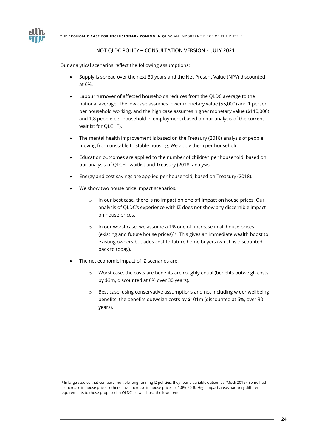Our analytical scenarios reflect the following assumptions:

- Supply is spread over the next 30 years and the Net Present Value (NPV) discounted at 6%.
- Labour turnover of affected households reduces from the QLDC average to the national average. The low case assumes lower monetary value (55,000) and 1 person per household working, and the high case assumes higher monetary value (\$110,000) and 1.8 people per household in employment (based on our analysis of the current waitlist for QLCHT).
- The mental health improvement is based on the Treasury (2018) analysis of people moving from unstable to stable housing. We apply them per household.
- Education outcomes are applied to the number of children per household, based on our analysis of QLCHT waitlist and Treasury (2018) analysis.
- Energy and cost savings are applied per household, based on Treasury (2018).
- We show two house price impact scenarios.
	- o In our best case, there is no impact on one off impact on house prices. Our analysis of QLDC's experience with IZ does not show any discernible impact on house prices.
	- In our worst case, we assume a 1% one off increase in all house prices (existing and future house prices)<sup>18</sup>. This gives an immediate wealth boost to existing owners but adds cost to future home buyers (which is discounted back to today).
- The net economic impact of IZ scenarios are:
	- o Worst case, the costs are benefits are roughly equal (benefits outweigh costs by \$3m, discounted at 6% over 30 years).
	- o Best case, using conservative assumptions and not including wider wellbeing benefits, the benefits outweigh costs by \$101m (discounted at 6%, over 30 years).

<sup>&</sup>lt;sup>18</sup> In large studies that compare multiple long running IZ policies, they found variable outcomes (Mock 2016). Some had no increase in house prices, others have increase in house prices of 1.0%-2.2%. High impact areas had very different requirements to those proposed in QLDC, so we chose the lower end.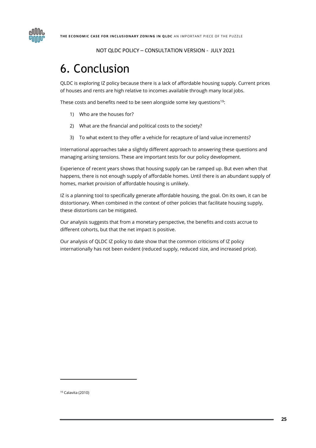

# <span id="page-25-0"></span>6. Conclusion

QLDC is exploring IZ policy because there is a lack of affordable housing supply. Current prices of houses and rents are high relative to incomes available through many local jobs.

These costs and benefits need to be seen alongside some key questions<sup>19</sup>:

- 1) Who are the houses for?
- 2) What are the financial and political costs to the society?
- 3) To what extent to they offer a vehicle for recapture of land value increments?

International approaches take a slightly different approach to answering these questions and managing arising tensions. These are important tests for our policy development.

Experience of recent years shows that housing supply can be ramped up. But even when that happens, there is not enough supply of affordable homes. Until there is an abundant supply of homes, market provision of affordable housing is unlikely.

IZ is a planning tool to specifically generate affordable housing, the goal. On its own, it can be distortionary. When combined in the context of other policies that facilitate housing supply, these distortions can be mitigated.

Our analysis suggests that from a monetary perspective, the benefits and costs accrue to different cohorts, but that the net impact is positive.

Our analysis of QLDC IZ policy to date show that the common criticisms of IZ policy internationally has not been evident (reduced supply, reduced size, and increased price).

<sup>19</sup> Calavita (2010)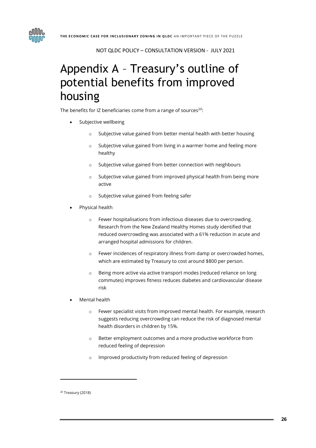

# <span id="page-26-0"></span>Appendix A – Treasury's outline of potential benefits from improved housing

The benefits for IZ beneficiaries come from a range of sources<sup>20</sup>:

- Subjective wellbeing
	- o Subjective value gained from better mental health with better housing
	- o Subjective value gained from living in a warmer home and feeling more healthy
	- o Subjective value gained from better connection with neighbours
	- o Subjective value gained from improved physical health from being more active
	- o Subjective value gained from feeling safer
- Physical health
	- o Fewer hospitalisations from infectious diseases due to overcrowding. Research from the New Zealand Healthy Homes study identified that reduced overcrowding was associated with a 61% reduction in acute and arranged hospital admissions for children.
	- o Fewer incidences of respiratory illness from damp or overcrowded homes, which are estimated by Treasury to cost around \$800 per person.
	- o Being more active via active transport modes (reduced reliance on long commutes) improves fitness reduces diabetes and cardiovascular disease risk
- Mental health
	- o Fewer specialist visits from improved mental health. For example, research suggests reducing overcrowding can reduce the risk of diagnosed mental health disorders in children by 15%.
	- o Better employment outcomes and a more productive workforce from reduced feeling of depression
	- o Improved productivity from reduced feeling of depression

<sup>20</sup> Treasury (2018)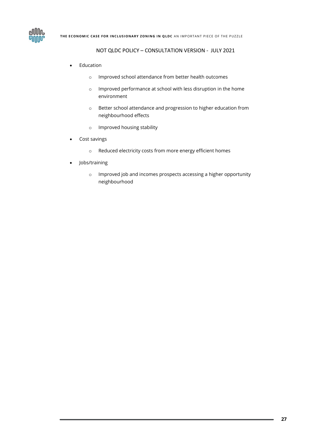

- **Education** 
	- o Improved school attendance from better health outcomes
	- o Improved performance at school with less disruption in the home environment
	- o Better school attendance and progression to higher education from neighbourhood effects
	- o Improved housing stability
- Cost savings
	- o Reduced electricity costs from more energy efficient homes
- Jobs/training
	- o Improved job and incomes prospects accessing a higher opportunity neighbourhood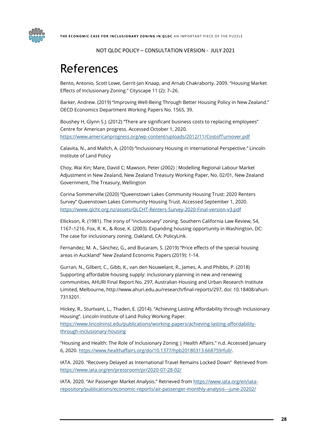

### <span id="page-28-0"></span>References

Bento, Antonio, Scott Lowe, Gerrit-Jan Knaap, and Arnab Chakraborty. 2009. "Housing Market Effects of Inclusionary Zoning." Cityscape 11 (2): 7–26.

Barker, Andrew. (2019) "Improving Well-Being Through Better Housing Policy in New Zealand." OECD Economics Department Working Papers No. 1565, 39.

Boushey H, Glynn S J. (2012) "There are significant business costs to replacing employees" Centre for American progress. Accessed October 1, 2020. <https://www.americanprogress.org/wp-content/uploads/2012/11/CostofTurnover.pdf>

Calavita, N., and Mallch, A. (2010) "Inclusionary Housing in International Perspective." Lincoln Institute of Land Policy

Choy, Wai Kin; Mare, David C; Mawson, Peter (2002) : Modelling Regional Labour Market Adjustment in New Zealand, New Zealand Treasury Working Paper, No. 02/01, New Zealand Government, The Treasury, Wellington

Corina Sommerville (2020) "Queenstown Lakes Community Housing Trust: 2020 Renters Survey" Queenstown Lakes Community Housing Trust. Accessed September 1, 2020. <https://www.qlcht.org.nz/assets/QLCHT-Renters-Survey-2020-Final-version-v3.pdf>

Ellickson, R. (1981). The irony of "inclusionary" zoning. Southern California Law Review, 54, 1167–1216. Fox, R. K., & Rose, K. (2003). Expanding housing opportunity in Washington, DC: The case for inclusionary zoning. Oakland, CA: PolicyLink.

Fernandez, M. A., Sánchez, G., and Bucaram, S. (2019) "Price effects of the special housing areas in Auckland" New Zealand Economic Papers (2019): 1-14.

Gurran, N., Gilbert, C., Gibb, K., van den Nouwelant, R., James, A. and Phibbs, P. (2018) Supporting affordable housing supply: inclusionary planning in new and renewing communities, AHURI Final Report No. 297, Australian Housing and Urban Research Institute Limited, Melbourne, http://www.ahuri.edu.au/research/final-reports/297, doi: 10.18408/ahuri-7313201.

Hickey, R., Sturtvant, L., Thaden, E. (2014). "Achieving Lasting Affordability through Inclusionary Housing". Lincoln Institute of Land Policy Working Paper. [https://www.lincolninst.edu/publications/working-papers/achieving-lasting-affordability](https://www.lincolninst.edu/publications/working-papers/achieving-lasting-affordability-through-inclusionary-housing)[through-inclusionary-housing](https://www.lincolninst.edu/publications/working-papers/achieving-lasting-affordability-through-inclusionary-housing)

"Housing and Health: The Role of Inclusionary Zoning | Health Affairs." n.d. Accessed January 6, 2020[. https://www.healthaffairs.org/do/10.1377/hpb20180313.668759/full/.](https://www.healthaffairs.org/do/10.1377/hpb20180313.668759/full/)

IATA. 2020. "Recovery Delayed as International Travel Remains Locked Down" Retrieved from <https://www.iata.org/en/pressroom/pr/2020-07-28-02/>

IATA. 2020. "Air Passenger Market Analysis." Retrieved from [https://www.iata.org/en/iata](https://www.iata.org/en/iata-repository/publications/economic-reports/air-passenger-monthly-analysis---june-20202/)[repository/publications/economic-reports/air-passenger-monthly-analysis---june-20202/](https://www.iata.org/en/iata-repository/publications/economic-reports/air-passenger-monthly-analysis---june-20202/)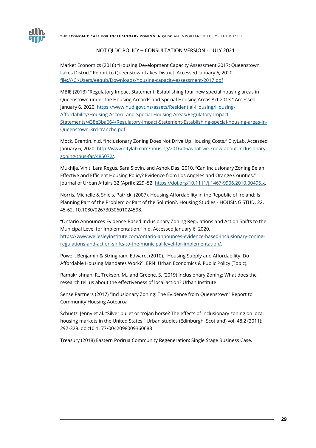THE ECONOMIC CASE FOR INCLUSIONARY ZONING IN QLDC AN IMPORTANT PIECE OF THE PUZZLE



#### NOT QLDC POLICY – CONSULTATION VERSION - JULY 2021

Market Economics (2018) "Housing Development Capacity Assessment 2017: Queenstown Lakes District" Report to Queenstown Lakes District. Accessed January 6, 2020: <file:///C:/Users/eaqub/Downloads/housing-capacity-assessment-2017.pdf>

MBIE (2013) "Regulatory Impact Statement: Establishing four new special housing areas in Queenstown under the Housing Accords and Special Housing Areas Act 2013." Accessed January 6, 2020[. https://www.hud.govt.nz/assets/Residential-Housing/Housing-](https://www.hud.govt.nz/assets/Residential-Housing/Housing-Affordability/Housing-Accord-and-Special-Housing-Areas/Regulatory-Impact-Statements/438e3ba664/Regulatory-Impact-Statement-Establishing-special-housing-areas-in-Queenstown-3rd-tranche.pdf)[Affordability/Housing-Accord-and-Special-Housing-Areas/Regulatory-Impact-](https://www.hud.govt.nz/assets/Residential-Housing/Housing-Affordability/Housing-Accord-and-Special-Housing-Areas/Regulatory-Impact-Statements/438e3ba664/Regulatory-Impact-Statement-Establishing-special-housing-areas-in-Queenstown-3rd-tranche.pdf)[Statements/438e3ba664/Regulatory-Impact-Statement-Establishing-special-housing-areas-in-](https://www.hud.govt.nz/assets/Residential-Housing/Housing-Affordability/Housing-Accord-and-Special-Housing-Areas/Regulatory-Impact-Statements/438e3ba664/Regulatory-Impact-Statement-Establishing-special-housing-areas-in-Queenstown-3rd-tranche.pdf)[Queenstown-3rd-tranche.pdf](https://www.hud.govt.nz/assets/Residential-Housing/Housing-Affordability/Housing-Accord-and-Special-Housing-Areas/Regulatory-Impact-Statements/438e3ba664/Regulatory-Impact-Statement-Establishing-special-housing-areas-in-Queenstown-3rd-tranche.pdf)

Mock, Brentin. n.d. "Inclusionary Zoning Does Not Drive Up Housing Costs." CityLab. Accessed January 6, 2020[. http://www.citylab.com/housing/2016/06/what-we-know-about-inclusionary](http://www.citylab.com/housing/2016/06/what-we-know-about-inclusionary-zoning-thus-far/485072/)[zoning-thus-far/485072/.](http://www.citylab.com/housing/2016/06/what-we-know-about-inclusionary-zoning-thus-far/485072/)

Mukhija, Vinit, Lara Regus, Sara Slovin, and Ashok Das. 2010. "Can Inclusionary Zoning Be an Effective and Efficient Housing Policy? Evidence from Los Angeles and Orange Counties." Journal of Urban Affairs 32 (April): 229-52[. https://doi.org/10.1111/j.1467-9906.2010.00495.x.](https://doi.org/10.1111/j.1467-9906.2010.00495.x)

Norris, Michelle & Shiels, Patrick. (2007). Housing Affordability in the Republic of Ireland: Is Planning Part of the Problem or Part of the Solution?. Housing Studies - HOUSING STUD. 22. 45-62. 10.1080/02673030601024598.

"Ontario Announces Evidence-Based Inclusionary Zoning Regulations and Action Shifts to the Municipal Level for Implementation." n.d. Accessed January 6, 2020. [https://www.wellesleyinstitute.com/ontario-announces-evidence-based-inclusionary-zoning](https://www.wellesleyinstitute.com/ontario-announces-evidence-based-inclusionary-zoning-regulations-and-action-shifts-to-the-municipal-level-for-implementation/)[regulations-and-action-shifts-to-the-municipal-level-for-implementation/.](https://www.wellesleyinstitute.com/ontario-announces-evidence-based-inclusionary-zoning-regulations-and-action-shifts-to-the-municipal-level-for-implementation/)

Powell, Benjamin & Stringham, Edward. (2010). "Housing Supply and Affordability: Do Affordable Housing Mandates Work?". ERN: Urban Economics & Public Policy (Topic).

Ramakrishnan, R., Trekson, M., and Greene, S. (2019) Inclusionary Zoning: What does the research tell us about the effectiveness of local action? Urban Institute

Sense Partners (2017) "Inclusionary Zoning: The Evidence from Queenstown" Report to Community Housing Aotearoa

Schuetz, Jenny et al. "Silver bullet or trojan horse? The effects of inclusionary zoning on local housing markets in the United States." Urban studies (Edinburgh, Scotland) vol. 48,2 (2011): 297-329. doi:10.1177/0042098009360683

Treasury (2018) Eastern Porirua Community Regeneration: Single Stage Business Case.